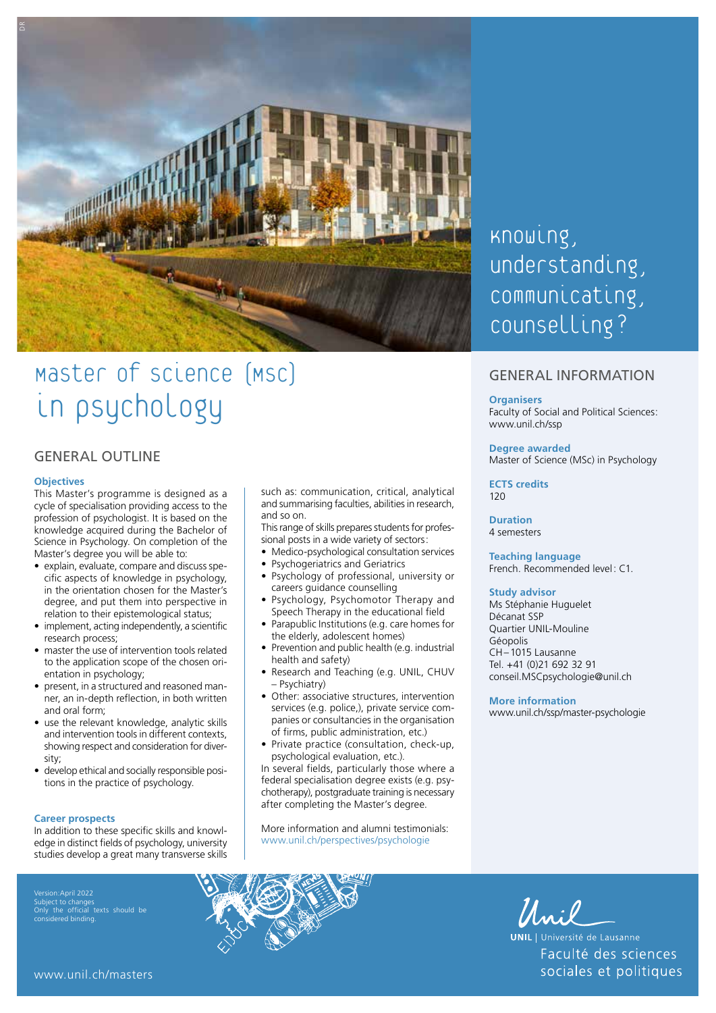

# Master of science [Msc] in psychology

## GENERAL OUTLINE

#### **Objectives**

This Master's programme is designed as a cycle of specialisation providing access to the profession of psychologist. It is based on the knowledge acquired during the Bachelor of Science in Psychology. On completion of the Master's degree you will be able to:

- explain, evaluate, compare and discuss specific aspects of knowledge in psychology, in the orientation chosen for the Master's degree, and put them into perspective in relation to their epistemological status;
- implement, acting independently, a scientific research process;
- master the use of intervention tools related to the application scope of the chosen orientation in psychology;
- present, in a structured and reasoned manner, an in-depth reflection, in both written and oral form;
- use the relevant knowledge, analytic skills and intervention tools in different contexts, showing respect and consideration for diversity;
- develop ethical and socially responsible positions in the practice of psychology.

#### **Career prospects**

In addition to these specific skills and knowledge in distinct fields of psychology, university studies develop a great many transverse skills

Subject to changes Only the official texts should be considered binding.

such as: communication, critical, analytical and summarising faculties, abilities in research, and so on.

This range of skills prepares students for professional posts in a wide variety of sectors:

- Medico-psychological consultation services
- Psychogeriatrics and Geriatrics
- Psychology of professional, university or careers guidance counselling
- Psychology, Psychomotor Therapy and Speech Therapy in the educational field
- Parapublic Institutions (e.g. care homes for the elderly, adolescent homes)
- Prevention and public health (e.g. industrial health and safety)
- Research and Teaching (e.g. UNIL, CHUV – Psychiatry)
- Other: associative structures, intervention services (e.g. police,), private service companies or consultancies in the organisation of firms, public administration, etc.)
- Private practice (consultation, check-up, psychological evaluation, etc.).

In several fields, particularly those where a federal specialisation degree exists (e.g. psychotherapy), postgraduate training is necessary after completing the Master's degree.

More information and alumni testimonials: [www.unil.ch/perspectives/psychologie](http://www.unil.ch/perspectives/psychologie)

## Knowing, understanding, communicating, counselling?

## GENERAL INFORMATION

#### **Organisers**

Faculty of Social and Political Sciences: [www.unil.ch/ssp](http://www.unil.ch/ssp)

#### **Degree awarded**

Master of Science (MSc) in Psychology

**ECTS credits** 120

## **Duration**

4 semesters

## **Teaching language**

French. Recommended level: C1.

#### **Study advisor**

Ms Stéphanie Huguelet Décanat SSP Quartier UNIL-Mouline Géopolis CH–1015 Lausanne Tel. +41 (0)21 692 32 91 [conseil.MSCpsychologie@unil.ch](mailto:conseil.psychologie@unil.ch)

#### **More information**

[www.unil.ch/ssp/master-psychologie](http://www.unil.ch/ssp/master-psychologie)



**UNIL** | Université de Lausanne Faculté des sciences sociales et politiques